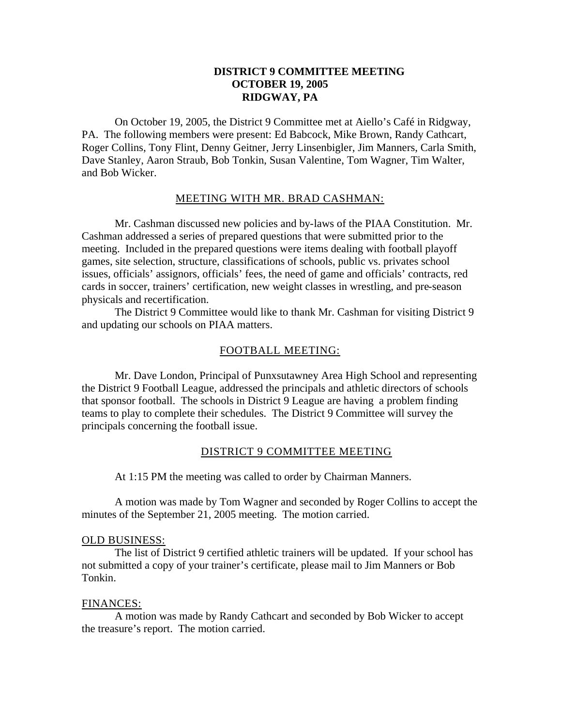# **DISTRICT 9 COMMITTEE MEETING OCTOBER 19, 2005 RIDGWAY, PA**

On October 19, 2005, the District 9 Committee met at Aiello's Café in Ridgway, PA. The following members were present: Ed Babcock, Mike Brown, Randy Cathcart, Roger Collins, Tony Flint, Denny Geitner, Jerry Linsenbigler, Jim Manners, Carla Smith, Dave Stanley, Aaron Straub, Bob Tonkin, Susan Valentine, Tom Wagner, Tim Walter, and Bob Wicker.

## MEETING WITH MR. BRAD CASHMAN:

Mr. Cashman discussed new policies and by-laws of the PIAA Constitution. Mr. Cashman addressed a series of prepared questions that were submitted prior to the meeting. Included in the prepared questions were items dealing with football playoff games, site selection, structure, classifications of schools, public vs. privates school issues, officials' assignors, officials' fees, the need of game and officials' contracts, red cards in soccer, trainers' certification, new weight classes in wrestling, and pre-season physicals and recertification.

The District 9 Committee would like to thank Mr. Cashman for visiting District 9 and updating our schools on PIAA matters.

# FOOTBALL MEETING:

Mr. Dave London, Principal of Punxsutawney Area High School and representing the District 9 Football League, addressed the principals and athletic directors of schools that sponsor football. The schools in District 9 League are having a problem finding teams to play to complete their schedules. The District 9 Committee will survey the principals concerning the football issue.

## DISTRICT 9 COMMITTEE MEETING

At 1:15 PM the meeting was called to order by Chairman Manners.

A motion was made by Tom Wagner and seconded by Roger Collins to accept the minutes of the September 21, 2005 meeting. The motion carried.

#### OLD BUSINESS:

The list of District 9 certified athletic trainers will be updated. If your school has not submitted a copy of your trainer's certificate, please mail to Jim Manners or Bob Tonkin.

#### FINANCES:

A motion was made by Randy Cathcart and seconded by Bob Wicker to accept the treasure's report. The motion carried.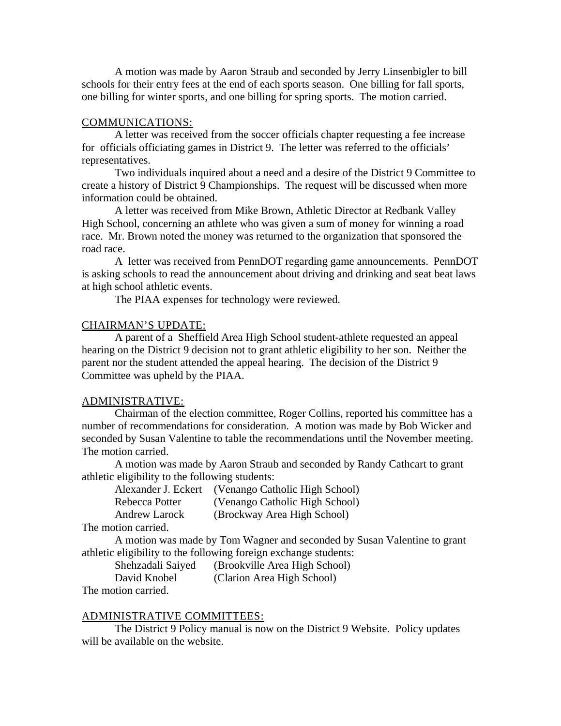A motion was made by Aaron Straub and seconded by Jerry Linsenbigler to bill schools for their entry fees at the end of each sports season. One billing for fall sports, one billing for winter sports, and one billing for spring sports. The motion carried.

## COMMUNICATIONS:

A letter was received from the soccer officials chapter requesting a fee increase for officials officiating games in District 9. The letter was referred to the officials' representatives.

Two individuals inquired about a need and a desire of the District 9 Committee to create a history of District 9 Championships. The request will be discussed when more information could be obtained.

A letter was received from Mike Brown, Athletic Director at Redbank Valley High School, concerning an athlete who was given a sum of money for winning a road race. Mr. Brown noted the money was returned to the organization that sponsored the road race.

A letter was received from PennDOT regarding game announcements. PennDOT is asking schools to read the announcement about driving and drinking and seat beat laws at high school athletic events.

The PIAA expenses for technology were reviewed.

## CHAIRMAN'S UPDATE:

A parent of a Sheffield Area High School student-athlete requested an appeal hearing on the District 9 decision not to grant athletic eligibility to her son. Neither the parent nor the student attended the appeal hearing. The decision of the District 9 Committee was upheld by the PIAA.

## ADMINISTRATIVE:

Chairman of the election committee, Roger Collins, reported his committee has a number of recommendations for consideration. A motion was made by Bob Wicker and seconded by Susan Valentine to table the recommendations until the November meeting. The motion carried.

A motion was made by Aaron Straub and seconded by Randy Cathcart to grant athletic eligibility to the following students:

| Alexander J. Eckert | (Venango Catholic High School) |
|---------------------|--------------------------------|
| Rebecca Potter      | (Venango Catholic High School) |
| Andrew Larock       | (Brockway Area High School)    |
| المنسوم ومند        |                                |

The motion carried.

A motion was made by Tom Wagner and seconded by Susan Valentine to grant athletic eligibility to the following foreign exchange students:

| Shehzadali Saiyed | (Brookville Area High School) |
|-------------------|-------------------------------|
| David Knobel      | (Clarion Area High School)    |
| aatian aamiad     |                               |

The motion carried.

# ADMINISTRATIVE COMMITTEES:

The District 9 Policy manual is now on the District 9 Website. Policy updates will be available on the website.